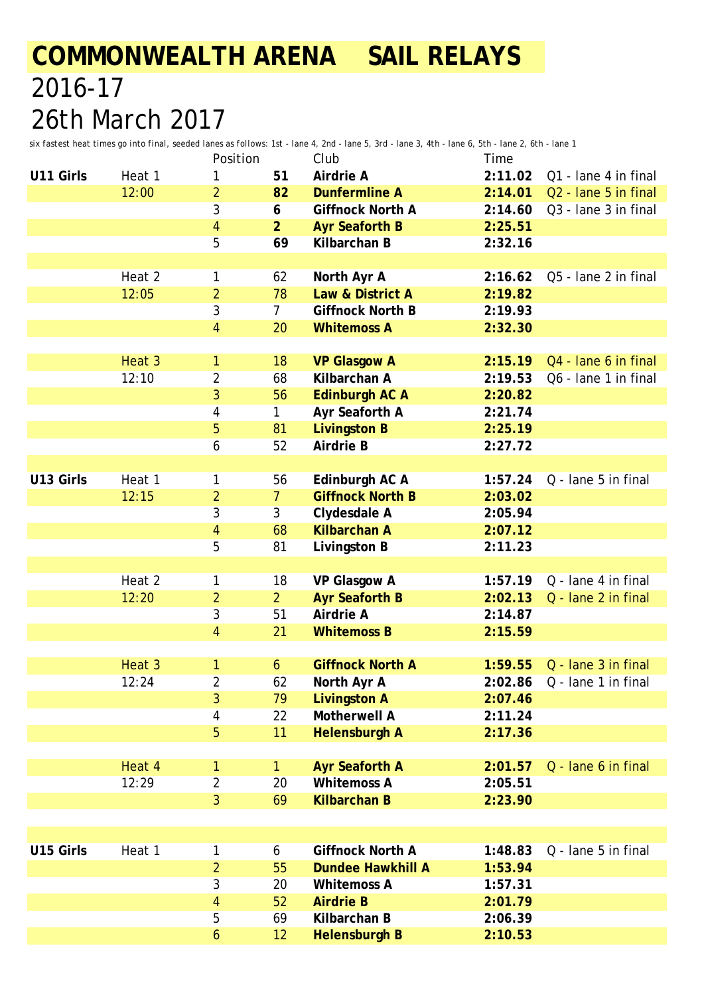*six fastest heat times go into final, seeded lanes as follows: 1st - lane 4, 2nd - lane 5, 3rd - lane 3, 4th - lane 6, 5th - lane 2, 6th - lane 1*

|           |        | Position         |                | Club                    | Time    |                                  |
|-----------|--------|------------------|----------------|-------------------------|---------|----------------------------------|
| U11 Girls | Heat 1 | 1                | 51             | Airdrie A               | 2:11.02 | Q1 - lane 4 in final             |
|           | 12:00  | $\overline{a}$   | 82             | <b>Dunfermline A</b>    | 2:14.01 | Q <sub>2</sub> - lane 5 in final |
|           |        | 3                | 6              | <b>Giffnock North A</b> | 2:14.60 | Q3 - lane 3 in final             |
|           |        | 4                | $\overline{2}$ | <b>Ayr Seaforth B</b>   | 2:25.51 |                                  |
|           |        | 5                | 69             | Kilbarchan B            | 2:32.16 |                                  |
|           |        |                  |                |                         |         |                                  |
|           | Heat 2 | 1                | 62             | North Ayr A             | 2:16.62 | Q5 - lane 2 in final             |
|           | 12:05  | $\overline{2}$   | 78             | Law & District A        | 2:19.82 |                                  |
|           |        | 3                | $\overline{7}$ | <b>Giffnock North B</b> | 2:19.93 |                                  |
|           |        | 4                | 20             | <b>Whitemoss A</b>      | 2:32.30 |                                  |
|           |        |                  |                |                         |         |                                  |
|           | Heat 3 | 1                | 18             | <b>VP Glasgow A</b>     | 2:15.19 | Q4 - lane 6 in final             |
|           | 12:10  | 2                | 68             | Kilbarchan A            | 2:19.53 | Q6 - lane 1 in final             |
|           |        | 3                | 56             | <b>Edinburgh AC A</b>   | 2:20.82 |                                  |
|           |        | 4                | 1              | Ayr Seaforth A          | 2:21.74 |                                  |
|           |        | 5                | 81             | <b>Livingston B</b>     | 2:25.19 |                                  |
|           |        | 6                | 52             | <b>Airdrie B</b>        | 2:27.72 |                                  |
|           |        |                  |                |                         |         |                                  |
| U13 Girls | Heat 1 | 1                | 56             | Edinburgh AC A          | 1:57.24 | Q - lane 5 in final              |
|           | 12:15  | $\overline{2}$   | $\overline{7}$ | <b>Giffnock North B</b> | 2:03.02 |                                  |
|           |        | 3                | 3              | Clydesdale A            | 2:05.94 |                                  |
|           |        | 4                | 68             | <b>Kilbarchan A</b>     | 2:07.12 |                                  |
|           |        | 5                | 81             | Livingston B            | 2:11.23 |                                  |
|           |        |                  |                |                         |         |                                  |
|           | Heat 2 | 1                | 18             | <b>VP Glasgow A</b>     | 1:57.19 | Q - lane 4 in final              |
|           | 12:20  | $\overline{2}$   | $\overline{2}$ | <b>Ayr Seaforth B</b>   | 2:02.13 | Q - lane 2 in final              |
|           |        | 3                | 51             | Airdrie A               | 2:14.87 |                                  |
|           |        | $\overline{4}$   | 21             | <b>Whitemoss B</b>      | 2:15.59 |                                  |
|           |        |                  |                |                         |         |                                  |
|           | Heat 3 | 1                | 6              | <b>Giffnock North A</b> | 1:59.55 | Q - lane 3 in final              |
|           | 12:24  | $\overline{2}$   | 62             | North Ayr A             |         | 2:02.86  Q - lane 1 in final     |
|           |        | 3                | 79             | <b>Livingston A</b>     | 2:07.46 |                                  |
|           |        | 4                | 22             | Motherwell A            | 2:11.24 |                                  |
|           |        | 5                | 11             | <b>Helensburgh A</b>    | 2:17.36 |                                  |
|           |        |                  |                |                         |         |                                  |
|           | Heat 4 | 1                | 1              | <b>Ayr Seaforth A</b>   | 2:01.57 | Q - lane 6 in final              |
|           | 12:29  | $\overline{2}$   | 20             | <b>Whitemoss A</b>      | 2:05.51 |                                  |
|           |        | 3                | 69             | <b>Kilbarchan B</b>     | 2:23.90 |                                  |
|           |        |                  |                |                         |         |                                  |
|           |        |                  |                |                         |         |                                  |
| U15 Girls | Heat 1 | 1                | 6              | <b>Giffnock North A</b> | 1:48.83 | Q - lane 5 in final              |
|           |        | $\overline{a}$   | 55             | Dundee Hawkhill A       | 1:53.94 |                                  |
|           |        | 3                | 20             | <b>Whitemoss A</b>      | 1:57.31 |                                  |
|           |        | 4                | 52             | <b>Airdrie B</b>        | 2:01.79 |                                  |
|           |        | 5                | 69             | Kilbarchan B            | 2:06.39 |                                  |
|           |        | $\boldsymbol{6}$ | 12             | <b>Helensburgh B</b>    | 2:10.53 |                                  |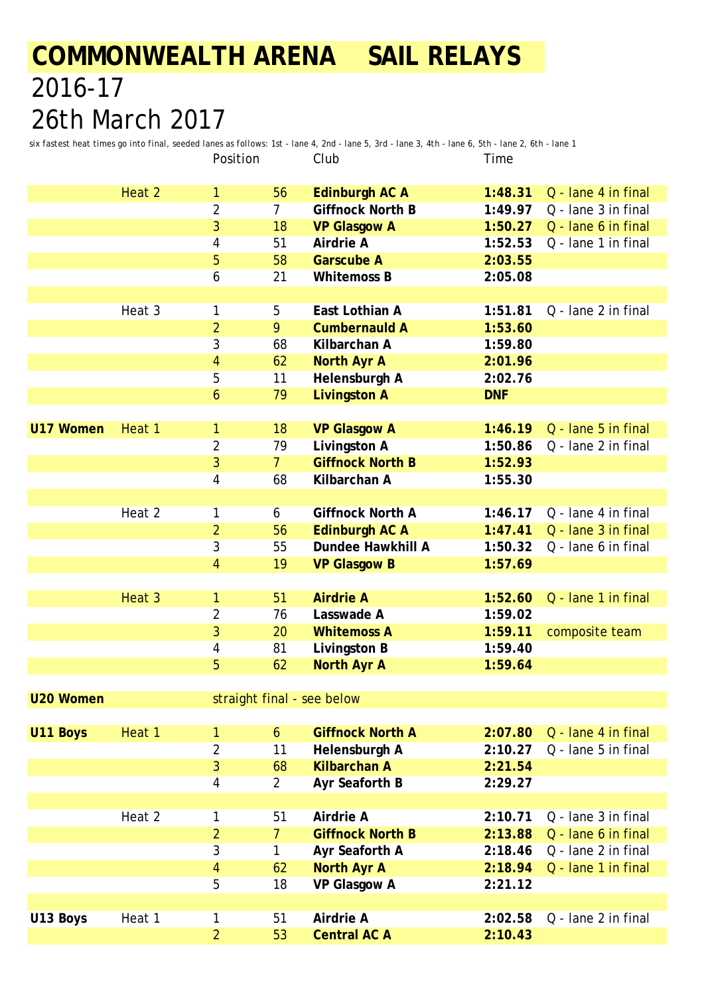*six fastest heat times go into final, seeded lanes as follows: 1st - lane 4, 2nd - lane 5, 3rd - lane 3, 4th - lane 6, 5th - lane 2, 6th - lane 1* Position Club Time

|                  |        | ו וטוונט ו                 |                |                         | ,,,,,,     |                     |
|------------------|--------|----------------------------|----------------|-------------------------|------------|---------------------|
|                  | Heat 2 | 1                          | 56             | <b>Edinburgh AC A</b>   | 1:48.31    | Q - lane 4 in final |
|                  |        | $\overline{2}$             | $\overline{7}$ | <b>Giffnock North B</b> | 1:49.97    | Q - lane 3 in final |
|                  |        | 3                          | 18             | <b>VP Glasgow A</b>     | 1:50.27    | Q - lane 6 in final |
|                  |        | 4                          | 51             | Airdrie A               | 1:52.53    | Q - lane 1 in final |
|                  |        | 5                          | 58             | <b>Garscube A</b>       | 2:03.55    |                     |
|                  |        | 6                          | 21             | <b>Whitemoss B</b>      | 2:05.08    |                     |
|                  |        |                            |                |                         |            |                     |
|                  | Heat 3 | 1                          | 5              | East Lothian A          | 1:51.81    | Q - lane 2 in final |
|                  |        | $\overline{2}$             | 9              | <b>Cumbernauld A</b>    | 1:53.60    |                     |
|                  |        |                            | 68             | Kilbarchan A            | 1:59.80    |                     |
|                  |        | 3                          |                |                         |            |                     |
|                  |        | 4                          | 62             | <b>North Ayr A</b>      | 2:01.96    |                     |
|                  |        | 5                          | 11             | Helensburgh A           | 2:02.76    |                     |
|                  |        | 6                          | 79             | <b>Livingston A</b>     | <b>DNF</b> |                     |
|                  |        |                            |                |                         |            |                     |
| <b>U17 Women</b> | Heat 1 | 1                          | 18             | <b>VP Glasgow A</b>     | 1:46.19    | Q - lane 5 in final |
|                  |        | $\overline{2}$             | 79             | Livingston A            | 1:50.86    | Q - lane 2 in final |
|                  |        | 3                          | 7 <sup>1</sup> | <b>Giffnock North B</b> | 1:52.93    |                     |
|                  |        | 4                          | 68             | Kilbarchan A            | 1:55.30    |                     |
|                  |        |                            |                |                         |            |                     |
|                  | Heat 2 | 1                          | 6              | <b>Giffnock North A</b> | 1:46.17    | Q - lane 4 in final |
|                  |        | $\overline{a}$             | 56             | <b>Edinburgh AC A</b>   | 1:47.41    | Q - lane 3 in final |
|                  |        | 3                          | 55             | Dundee Hawkhill A       | 1:50.32    | Q - lane 6 in final |
|                  |        | 4                          | 19             | <b>VP Glasgow B</b>     | 1:57.69    |                     |
|                  |        |                            |                |                         |            |                     |
|                  | Heat 3 | 1                          | 51             | <b>Airdrie A</b>        | 1:52.60    | Q - lane 1 in final |
|                  |        | 2                          | 76             | Lasswade A              | 1:59.02    |                     |
|                  |        | 3                          | 20             | <b>Whitemoss A</b>      | 1:59.11    | composite team      |
|                  |        | 4                          | 81             | Livingston B            | 1:59.40    |                     |
|                  |        | 5                          | 62             | <b>North Ayr A</b>      | 1:59.64    |                     |
|                  |        |                            |                |                         |            |                     |
| <b>U20 Women</b> |        | straight final - see below |                |                         |            |                     |
|                  |        |                            |                |                         |            |                     |
| U11 Boys         | Heat 1 | 1                          | 6              | <b>Giffnock North A</b> | 2:07.80    | Q - lane 4 in final |
|                  |        | 2                          | 11             | Helensburgh A           | 2:10.27    | Q - lane 5 in final |
|                  |        | 3                          | 68             | <b>Kilbarchan A</b>     | 2:21.54    |                     |
|                  |        | 4                          | $\overline{2}$ | Ayr Seaforth B          | 2:29.27    |                     |
|                  |        |                            |                |                         |            |                     |
|                  | Heat 2 | 1                          | 51             | Airdrie A               | 2:10.71    | Q - lane 3 in final |
|                  |        | $\overline{a}$             | $\overline{7}$ | <b>Giffnock North B</b> | 2:13.88    | Q - lane 6 in final |
|                  |        | 3                          | 1              | Ayr Seaforth A          | 2:18.46    | Q - lane 2 in final |
|                  |        | 4                          | 62             | <b>North Ayr A</b>      | 2:18.94    | Q - lane 1 in final |
|                  |        | 5                          | 18             | VP Glasgow A            | 2:21.12    |                     |
|                  |        |                            |                |                         |            |                     |
|                  |        |                            | 51             | Airdrie A               |            | Q - lane 2 in final |
| U13 Boys         | Heat 1 | 1                          |                |                         | 2:02.58    |                     |
|                  |        | $\overline{2}$             | 53             | <b>Central AC A</b>     | 2:10.43    |                     |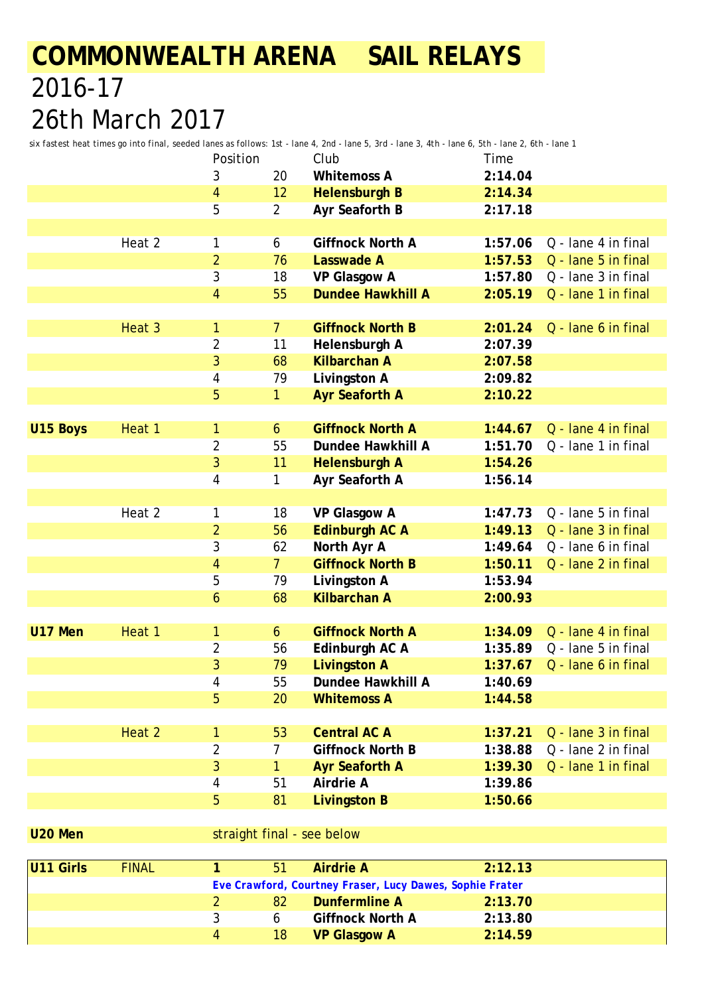*six fastest heat times go into final, seeded lanes as follows: 1st - lane 4, 2nd - lane 5, 3rd - lane 3, 4th - lane 6, 5th - lane 2, 6th - lane 1*

|          |        | Position       |                  | Club                     | Time    |                     |
|----------|--------|----------------|------------------|--------------------------|---------|---------------------|
|          |        | 3              | 20               | <b>Whitemoss A</b>       | 2:14.04 |                     |
|          |        | 4              | 12               | <b>Helensburgh B</b>     | 2:14.34 |                     |
|          |        | 5              | $\overline{a}$   | Ayr Seaforth B           | 2:17.18 |                     |
|          |        |                |                  |                          |         |                     |
|          | Heat 2 | 1              | 6                | <b>Giffnock North A</b>  | 1:57.06 | Q - lane 4 in final |
|          |        | $\overline{2}$ | 76               | <b>Lasswade A</b>        | 1:57.53 | Q - lane 5 in final |
|          |        | 3              | 18               | VP Glasgow A             | 1:57.80 | Q - lane 3 in final |
|          |        | 4              | 55               | <b>Dundee Hawkhill A</b> | 2:05.19 | Q - lane 1 in final |
|          |        |                |                  |                          |         |                     |
|          | Heat 3 | 1              | $\overline{7}$   | <b>Giffnock North B</b>  | 2:01.24 | Q - lane 6 in final |
|          |        | $\overline{2}$ | 11               | Helensburgh A            | 2:07.39 |                     |
|          |        | 3              | 68               | <b>Kilbarchan A</b>      | 2:07.58 |                     |
|          |        | 4              | 79               | Livingston A             | 2:09.82 |                     |
|          |        | 5              | $\mathbf{1}$     | <b>Ayr Seaforth A</b>    | 2:10.22 |                     |
|          |        |                |                  |                          |         |                     |
| U15 Boys | Heat 1 | 1              | 6                | <b>Giffnock North A</b>  | 1:44.67 | Q - lane 4 in final |
|          |        | 2              | 55               | Dundee Hawkhill A        | 1:51.70 | Q - lane 1 in final |
|          |        | 3              | 11               | <b>Helensburgh A</b>     | 1:54.26 |                     |
|          |        | 4              | 1                | Ayr Seaforth A           | 1:56.14 |                     |
|          |        |                |                  |                          |         |                     |
|          | Heat 2 | 1              | 18               | VP Glasgow A             | 1:47.73 | Q - lane 5 in final |
|          |        | $\overline{2}$ | 56               | <b>Edinburgh AC A</b>    | 1:49.13 | Q - lane 3 in final |
|          |        | 3              | 62               | North Ayr A              | 1:49.64 | Q - lane 6 in final |
|          |        | 4              | $\overline{7}$   | <b>Giffnock North B</b>  | 1:50.11 | Q - lane 2 in final |
|          |        | 5              | 79               | Livingston A             | 1:53.94 |                     |
|          |        | 6              | 68               | <b>Kilbarchan A</b>      | 2:00.93 |                     |
|          |        |                |                  |                          |         |                     |
| U17 Men  | Heat 1 | 1              | $\boldsymbol{6}$ | <b>Giffnock North A</b>  | 1:34.09 | Q - lane 4 in final |
|          |        | 2              | 56               | Edinburgh AC A           | 1:35.89 | Q - lane 5 in final |
|          |        | 3              | 79               | <b>Livingston A</b>      | 1:37.67 | Q - lane 6 in final |
|          |        | 4              | 55               | Dundee Hawkhill A        | 1:40.69 |                     |
|          |        | 5              | 20               | <b>Whitemoss A</b>       | 1:44.58 |                     |
|          |        |                |                  |                          |         |                     |
|          | Heat 2 | 1              | 53               | <b>Central AC A</b>      | 1:37.21 | Q - lane 3 in final |
|          |        | 2              | 7                | <b>Giffnock North B</b>  | 1:38.88 | Q - lane 2 in final |
|          |        | 3              | 1                | <b>Ayr Seaforth A</b>    | 1:39.30 | Q - lane 1 in final |
|          |        | 4              | 51               | Airdrie A                | 1:39.86 |                     |
|          |        | 5              | 81               | <b>Livingston B</b>      | 1:50.66 |                     |

**U20 Men** straight final - see below

| U11 Girls | <b>FINAL</b>                                             |   | 51 | <b>Airdrie A</b>        | 2:12.13 |  |  |  |  |
|-----------|----------------------------------------------------------|---|----|-------------------------|---------|--|--|--|--|
|           | Eve Crawford, Courtney Fraser, Lucy Dawes, Sophie Frater |   |    |                         |         |  |  |  |  |
|           |                                                          |   | 82 | Dunfermline A           | 2:13.70 |  |  |  |  |
|           |                                                          |   |    | <b>Giffnock North A</b> | 2:13.80 |  |  |  |  |
|           |                                                          | 4 | 18 | <b>VP Glasgow A</b>     | 2:14.59 |  |  |  |  |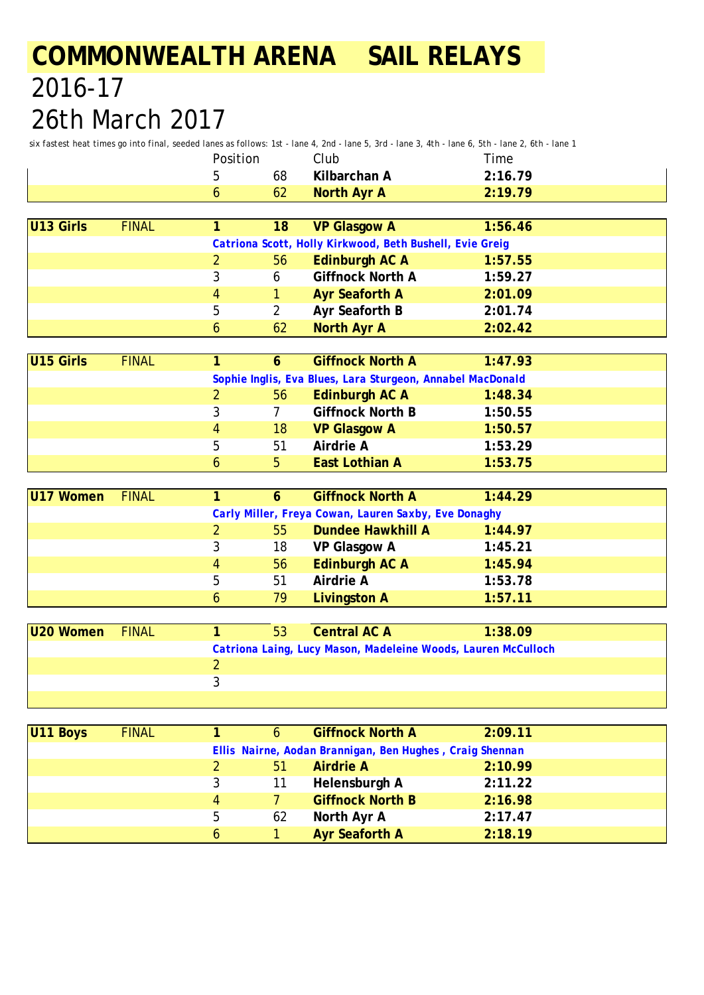*six fastest heat times go into final, seeded lanes as follows: 1st - lane 4, 2nd - lane 5, 3rd - lane 3, 4th - lane 6, 5th - lane 2, 6th - lane 1*

| Position |    | ੋlub         | Time    |
|----------|----|--------------|---------|
|          | 68 | Kilbarchan A | 2:16.79 |
|          | 62 | North Ayr A  | 2:19.79 |

| U13 Girls | <b>FINAL</b> |   | 18 | <b>VP Glasgow A</b>                                      | 1:56.46 |  |
|-----------|--------------|---|----|----------------------------------------------------------|---------|--|
|           |              |   |    | Catriona Scott, Holly Kirkwood, Beth Bushell, Evie Greig |         |  |
|           |              |   | 56 | Edinburgh AC A                                           | 1:57.55 |  |
|           |              |   | 6  | <b>Giffnock North A</b>                                  | 1:59.27 |  |
|           |              | 4 |    | <b>Ayr Seaforth A</b>                                    | 2:01.09 |  |
|           |              | 5 |    | Ayr Seaforth B                                           | 2:01.74 |  |
|           |              | 6 | 62 | North Ayr A                                              | 2:02.42 |  |

| U15 Girls | <b>FINAL</b> |                                                            |    | <b>Giffnock North A</b> | 1:47.93 |  |  |  |  |
|-----------|--------------|------------------------------------------------------------|----|-------------------------|---------|--|--|--|--|
|           |              | Sophie Inglis, Eva Blues, Lara Sturgeon, Annabel MacDonald |    |                         |         |  |  |  |  |
|           |              |                                                            | 56 | Edinburgh AC A          | 1:48.34 |  |  |  |  |
|           |              | 3                                                          |    | <b>Giffnock North B</b> | 1:50.55 |  |  |  |  |
|           |              | 4                                                          | 18 | <b>VP Glasgow A</b>     | 1:50.57 |  |  |  |  |
|           |              | 5                                                          | 51 | Airdrie A               | 1:53.29 |  |  |  |  |
|           |              | 6                                                          | b  | <b>East Lothian A</b>   | 1:53.75 |  |  |  |  |

| U17 Women                                            | <b>FINAL</b> |   |    | <b>Giffnock North A</b> | 1:44.29 |  |  |  |
|------------------------------------------------------|--------------|---|----|-------------------------|---------|--|--|--|
| Carly Miller, Freya Cowan, Lauren Saxby, Eve Donaghy |              |   |    |                         |         |  |  |  |
|                                                      |              |   | 55 | Dundee Hawkhill A       | 1:44.97 |  |  |  |
|                                                      |              | 3 | 18 | VP Glasgow A            | 1:45.21 |  |  |  |
|                                                      |              | 4 | 56 | Edinburgh AC A          | 1:45.94 |  |  |  |
|                                                      |              | 5 | 51 | Airdrie A               | 1:53.78 |  |  |  |
|                                                      |              | 6 | 79 | <b>Livingston A</b>     | 1:57.11 |  |  |  |

| U20 Women FINAL |  | 53 | <b>Central AC A</b> | 1:38.09                                                       |  |
|-----------------|--|----|---------------------|---------------------------------------------------------------|--|
|                 |  |    |                     | Catriona Laing, Lucy Mason, Madeleine Woods, Lauren McCulloch |  |
|                 |  |    |                     |                                                               |  |
|                 |  |    |                     |                                                               |  |
|                 |  |    |                     |                                                               |  |

| U11 Boys | <b>FINAL</b> |   | 6                                                        | <b>Giffnock North A</b> | 2:09.11 |  |  |  |  |  |
|----------|--------------|---|----------------------------------------------------------|-------------------------|---------|--|--|--|--|--|
|          |              |   | Ellis Nairne, Aodan Brannigan, Ben Hughes, Craig Shennan |                         |         |  |  |  |  |  |
|          |              |   | 51                                                       | <b>Airdrie A</b>        | 2:10.99 |  |  |  |  |  |
|          |              |   | 11                                                       | Helensburgh A           | 2:11.22 |  |  |  |  |  |
|          |              | 4 |                                                          | <b>Giffnock North B</b> | 2:16.98 |  |  |  |  |  |
|          |              | 5 | 62                                                       | North Ayr A             | 2:17.47 |  |  |  |  |  |
|          |              | 6 |                                                          | <b>Ayr Seaforth A</b>   | 2:18.19 |  |  |  |  |  |